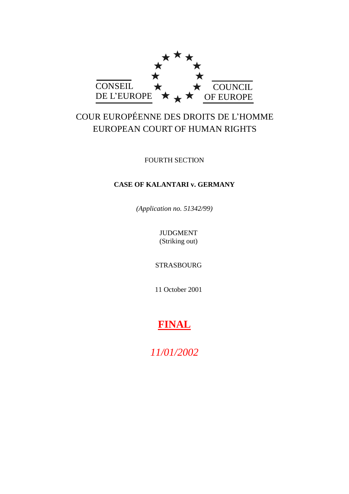

# COUR EUROPÉENNE DES DROITS DE L'HOMME EUROPEAN COURT OF HUMAN RIGHTS

FOURTH SECTION

# **CASE OF KALANTARI v. GERMANY**

*(Application no. 51342/99)*

JUDGMENT (Striking out)

STRASBOURG

11 October 2001

# **FINAL**

*11/01/2002*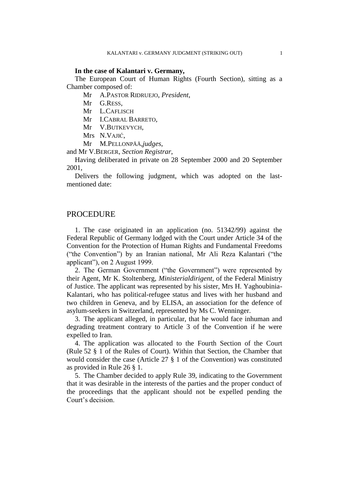#### **In the case of Kalantari v. Germany,**

The European Court of Human Rights (Fourth Section), sitting as a Chamber composed of:

Mr A.PASTOR RIDRUEJO, *President*,

- Mr G.RESS,
- Mr L.CAFLISCH

Mr I.CABRAL BARRETO,

- Mr V.BUTKEVYCH,
- Mrs N.VAJIĆ,
- Mr M.PELLONPÄÄ,*judges*,

and Mr V.BERGER, *Section Registrar*,

Having deliberated in private on 28 September 2000 and 20 September 2001,

Delivers the following judgment, which was adopted on the lastmentioned date:

#### PROCEDURE

1. The case originated in an application (no. 51342/99) against the Federal Republic of Germany lodged with the Court under Article 34 of the Convention for the Protection of Human Rights and Fundamental Freedoms ("the Convention") by an Iranian national, Mr Ali Reza Kalantari ("the applicant"), on 2 August 1999.

2. The German Government ("the Government") were represented by their Agent, Mr K. Stoltenberg, *Ministerialdirigent*, of the Federal Ministry of Justice. The applicant was represented by his sister, Mrs H. Yaghoubinia-Kalantari, who has political-refugee status and lives with her husband and two children in Geneva, and by ELISA, an association for the defence of asylum-seekers in Switzerland, represented by Ms C. Wenninger.

3. The applicant alleged, in particular, that he would face inhuman and degrading treatment contrary to Article 3 of the Convention if he were expelled to Iran.

4. The application was allocated to the Fourth Section of the Court (Rule 52 § 1 of the Rules of Court). Within that Section, the Chamber that would consider the case (Article 27 § 1 of the Convention) was constituted as provided in Rule 26 § 1.

5. The Chamber decided to apply Rule 39, indicating to the Government that it was desirable in the interests of the parties and the proper conduct of the proceedings that the applicant should not be expelled pending the Court's decision.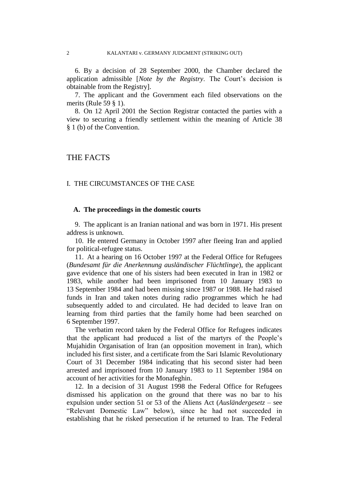6. By a decision of 28 September 2000, the Chamber declared the application admissible [*Note by the Registry*. The Court's decision is obtainable from the Registry].

7. The applicant and the Government each filed observations on the merits (Rule 59 § 1).

8. On 12 April 2001 the Section Registrar contacted the parties with a view to securing a friendly settlement within the meaning of Article 38 § 1 (b) of the Convention.

## THE FACTS

#### I. THE CIRCUMSTANCES OF THE CASE

#### **A. The proceedings in the domestic courts**

9. The applicant is an Iranian national and was born in 1971. His present address is unknown.

10. He entered Germany in October 1997 after fleeing Iran and applied for political-refugee status.

11. At a hearing on 16 October 1997 at the Federal Office for Refugees (*Bundesamt für die Anerkennung ausländischer Flüchtlinge*), the applicant gave evidence that one of his sisters had been executed in Iran in 1982 or 1983, while another had been imprisoned from 10 January 1983 to 13 September 1984 and had been missing since 1987 or 1988. He had raised funds in Iran and taken notes during radio programmes which he had subsequently added to and circulated. He had decided to leave Iran on learning from third parties that the family home had been searched on 6 September 1997.

The verbatim record taken by the Federal Office for Refugees indicates that the applicant had produced a list of the martyrs of the People's Mujahidin Organisation of Iran (an opposition movement in Iran), which included his first sister, and a certificate from the Sari Islamic Revolutionary Court of 31 December 1984 indicating that his second sister had been arrested and imprisoned from 10 January 1983 to 11 September 1984 on account of her activities for the Monafeghin.

12. In a decision of 31 August 1998 the Federal Office for Refugees dismissed his application on the ground that there was no bar to his expulsion under section 51 or 53 of the Aliens Act (*Ausländergesetz* – see "Relevant Domestic Law" below), since he had not succeeded in establishing that he risked persecution if he returned to Iran. The Federal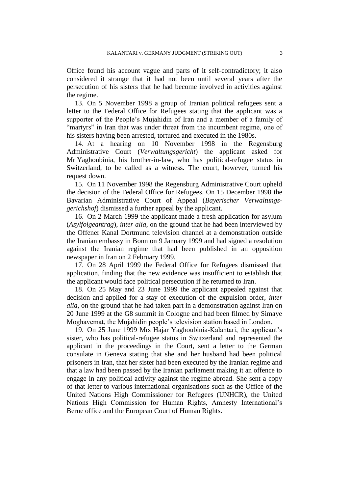Office found his account vague and parts of it self-contradictory; it also considered it strange that it had not been until several years after the persecution of his sisters that he had become involved in activities against the regime.

13. On 5 November 1998 a group of Iranian political refugees sent a letter to the Federal Office for Refugees stating that the applicant was a supporter of the People's Mujahidin of Iran and a member of a family of "martyrs" in Iran that was under threat from the incumbent regime, one of his sisters having been arrested, tortured and executed in the 1980s.

14. At a hearing on 10 November 1998 in the Regensburg Administrative Court (*Verwaltungsgericht*) the applicant asked for Mr Yaghoubinia, his brother-in-law, who has political-refugee status in Switzerland, to be called as a witness. The court, however, turned his request down.

15. On 11 November 1998 the Regensburg Administrative Court upheld the decision of the Federal Office for Refugees. On 15 December 1998 the Bavarian Administrative Court of Appeal (*Bayerischer Verwaltungsgerichshof*) dismissed a further appeal by the applicant.

16. On 2 March 1999 the applicant made a fresh application for asylum (*Asylfolgeantrag*), *inter alia*, on the ground that he had been interviewed by the Offener Kanal Dortmund television channel at a demonstration outside the Iranian embassy in Bonn on 9 January 1999 and had signed a resolution against the Iranian regime that had been published in an opposition newspaper in Iran on 2 February 1999.

17. On 28 April 1999 the Federal Office for Refugees dismissed that application, finding that the new evidence was insufficient to establish that the applicant would face political persecution if he returned to Iran.

18. On 25 May and 23 June 1999 the applicant appealed against that decision and applied for a stay of execution of the expulsion order, *inter alia*, on the ground that he had taken part in a demonstration against Iran on 20 June 1999 at the G8 summit in Cologne and had been filmed by Simaye Moghavemat, the Mujahidin people's television station based in London.

19. On 25 June 1999 Mrs Hajar Yaghoubinia-Kalantari, the applicant's sister, who has political-refugee status in Switzerland and represented the applicant in the proceedings in the Court, sent a letter to the German consulate in Geneva stating that she and her husband had been political prisoners in Iran, that her sister had been executed by the Iranian regime and that a law had been passed by the Iranian parliament making it an offence to engage in any political activity against the regime abroad. She sent a copy of that letter to various international organisations such as the Office of the United Nations High Commissioner for Refugees (UNHCR), the United Nations High Commission for Human Rights, Amnesty International's Berne office and the European Court of Human Rights.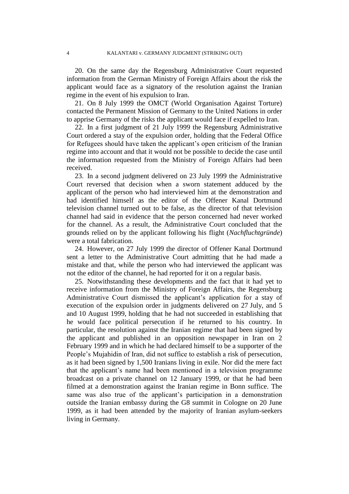20. On the same day the Regensburg Administrative Court requested information from the German Ministry of Foreign Affairs about the risk the applicant would face as a signatory of the resolution against the Iranian regime in the event of his expulsion to Iran.

21. On 8 July 1999 the OMCT (World Organisation Against Torture) contacted the Permanent Mission of Germany to the United Nations in order to apprise Germany of the risks the applicant would face if expelled to Iran.

22. In a first judgment of 21 July 1999 the Regensburg Administrative Court ordered a stay of the expulsion order, holding that the Federal Office for Refugees should have taken the applicant's open criticism of the Iranian regime into account and that it would not be possible to decide the case until the information requested from the Ministry of Foreign Affairs had been received.

23. In a second judgment delivered on 23 July 1999 the Administrative Court reversed that decision when a sworn statement adduced by the applicant of the person who had interviewed him at the demonstration and had identified himself as the editor of the Offener Kanal Dortmund television channel turned out to be false, as the director of that television channel had said in evidence that the person concerned had never worked for the channel. As a result, the Administrative Court concluded that the grounds relied on by the applicant following his flight (*Nachfluchtgründe*) were a total fabrication.

24. However, on 27 July 1999 the director of Offener Kanal Dortmund sent a letter to the Administrative Court admitting that he had made a mistake and that, while the person who had interviewed the applicant was not the editor of the channel, he had reported for it on a regular basis.

25. Notwithstanding these developments and the fact that it had yet to receive information from the Ministry of Foreign Affairs, the Regensburg Administrative Court dismissed the applicant's application for a stay of execution of the expulsion order in judgments delivered on 27 July, and 5 and 10 August 1999, holding that he had not succeeded in establishing that he would face political persecution if he returned to his country. In particular, the resolution against the Iranian regime that had been signed by the applicant and published in an opposition newspaper in Iran on 2 February 1999 and in which he had declared himself to be a supporter of the People's Mujahidin of Iran, did not suffice to establish a risk of persecution, as it had been signed by 1,500 Iranians living in exile. Nor did the mere fact that the applicant's name had been mentioned in a television programme broadcast on a private channel on 12 January 1999, or that he had been filmed at a demonstration against the Iranian regime in Bonn suffice. The same was also true of the applicant's participation in a demonstration outside the Iranian embassy during the G8 summit in Cologne on 20 June 1999, as it had been attended by the majority of Iranian asylum-seekers living in Germany.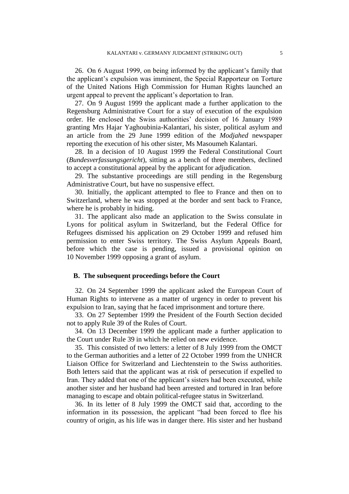26. On 6 August 1999, on being informed by the applicant's family that the applicant's expulsion was imminent, the Special Rapporteur on Torture of the United Nations High Commission for Human Rights launched an urgent appeal to prevent the applicant's deportation to Iran.

27. On 9 August 1999 the applicant made a further application to the Regensburg Administrative Court for a stay of execution of the expulsion order. He enclosed the Swiss authorities' decision of 16 January 1989 granting Mrs Hajar Yaghoubinia-Kalantari, his sister, political asylum and an article from the 29 June 1999 edition of the *Modjahed* newspaper reporting the execution of his other sister, Ms Masoumeh Kalantari.

28. In a decision of 10 August 1999 the Federal Constitutional Court (*Bundesverfassungsgericht*), sitting as a bench of three members, declined to accept a constitutional appeal by the applicant for adjudication.

29. The substantive proceedings are still pending in the Regensburg Administrative Court, but have no suspensive effect.

30. Initially, the applicant attempted to flee to France and then on to Switzerland, where he was stopped at the border and sent back to France, where he is probably in hiding.

31. The applicant also made an application to the Swiss consulate in Lyons for political asylum in Switzerland, but the Federal Office for Refugees dismissed his application on 29 October 1999 and refused him permission to enter Swiss territory. The Swiss Asylum Appeals Board, before which the case is pending, issued a provisional opinion on 10 November 1999 opposing a grant of asylum.

#### **B. The subsequent proceedings before the Court**

32. On 24 September 1999 the applicant asked the European Court of Human Rights to intervene as a matter of urgency in order to prevent his expulsion to Iran, saying that he faced imprisonment and torture there.

33. On 27 September 1999 the President of the Fourth Section decided not to apply Rule 39 of the Rules of Court.

34. On 13 December 1999 the applicant made a further application to the Court under Rule 39 in which he relied on new evidence.

35. This consisted of two letters: a letter of 8 July 1999 from the OMCT to the German authorities and a letter of 22 October 1999 from the UNHCR Liaison Office for Switzerland and Liechtenstein to the Swiss authorities. Both letters said that the applicant was at risk of persecution if expelled to Iran. They added that one of the applicant's sisters had been executed, while another sister and her husband had been arrested and tortured in Iran before managing to escape and obtain political-refugee status in Switzerland.

36. In its letter of 8 July 1999 the OMCT said that, according to the information in its possession, the applicant "had been forced to flee his country of origin, as his life was in danger there. His sister and her husband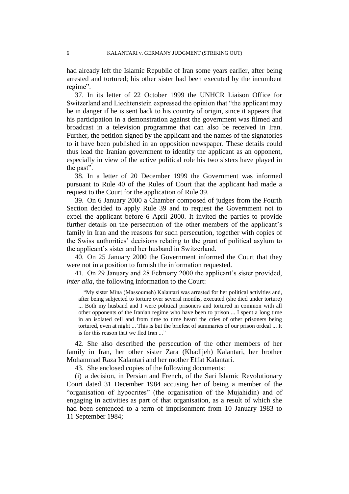had already left the Islamic Republic of Iran some years earlier, after being arrested and tortured; his other sister had been executed by the incumbent regime".

37. In its letter of 22 October 1999 the UNHCR Liaison Office for Switzerland and Liechtenstein expressed the opinion that "the applicant may be in danger if he is sent back to his country of origin, since it appears that his participation in a demonstration against the government was filmed and broadcast in a television programme that can also be received in Iran. Further, the petition signed by the applicant and the names of the signatories to it have been published in an opposition newspaper. These details could thus lead the Iranian government to identify the applicant as an opponent, especially in view of the active political role his two sisters have played in the past".

38. In a letter of 20 December 1999 the Government was informed pursuant to Rule 40 of the Rules of Court that the applicant had made a request to the Court for the application of Rule 39.

39. On 6 January 2000 a Chamber composed of judges from the Fourth Section decided to apply Rule 39 and to request the Government not to expel the applicant before 6 April 2000. It invited the parties to provide further details on the persecution of the other members of the applicant's family in Iran and the reasons for such persecution, together with copies of the Swiss authorities' decisions relating to the grant of political asylum to the applicant's sister and her husband in Switzerland.

40. On 25 January 2000 the Government informed the Court that they were not in a position to furnish the information requested.

41. On 29 January and 28 February 2000 the applicant's sister provided, *inter alia*, the following information to the Court:

"My sister Mina (Massoumeh) Kalantari was arrested for her political activities and, after being subjected to torture over several months, executed (she died under torture) ... Both my husband and I were political prisoners and tortured in common with all other opponents of the Iranian regime who have been to prison ... I spent a long time in an isolated cell and from time to time heard the cries of other prisoners being tortured, even at night ... This is but the briefest of summaries of our prison ordeal ... It is for this reason that we fled Iran ..."

42. She also described the persecution of the other members of her family in Iran, her other sister Zara (Khadijeh) Kalantari, her brother Mohammad Raza Kalantari and her mother Effat Kalantari.

43. She enclosed copies of the following documents:

(i) a decision, in Persian and French, of the Sari Islamic Revolutionary Court dated 31 December 1984 accusing her of being a member of the "organisation of hypocrites" (the organisation of the Mujahidin) and of engaging in activities as part of that organisation, as a result of which she had been sentenced to a term of imprisonment from 10 January 1983 to 11 September 1984;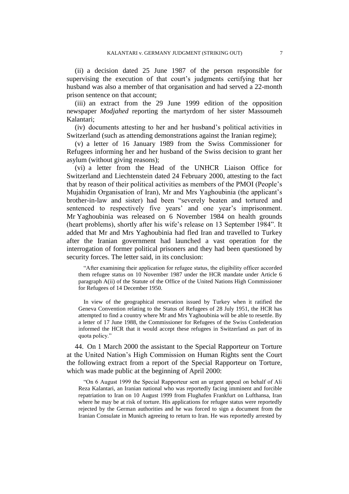(ii) a decision dated 25 June 1987 of the person responsible for supervising the execution of that court's judgments certifying that her husband was also a member of that organisation and had served a 22-month prison sentence on that account;

(iii) an extract from the 29 June 1999 edition of the opposition newspaper *Modjahed* reporting the martyrdom of her sister Massoumeh Kalantari;

(iv) documents attesting to her and her husband's political activities in Switzerland (such as attending demonstrations against the Iranian regime);

(v) a letter of 16 January 1989 from the Swiss Commissioner for Refugees informing her and her husband of the Swiss decision to grant her asylum (without giving reasons);

(vi) a letter from the Head of the UNHCR Liaison Office for Switzerland and Liechtenstein dated 24 February 2000, attesting to the fact that by reason of their political activities as members of the PMOI (People's Mujahidin Organisation of Iran), Mr and Mrs Yaghoubinia (the applicant's brother-in-law and sister) had been "severely beaten and tortured and sentenced to respectively five years' and one year's imprisonment. Mr Yaghoubinia was released on 6 November 1984 on health grounds (heart problems), shortly after his wife's release on 13 September 1984". It added that Mr and Mrs Yaghoubinia had fled Iran and travelled to Turkey after the Iranian government had launched a vast operation for the interrogation of former political prisoners and they had been questioned by security forces. The letter said, in its conclusion:

"After examining their application for refugee status, the eligibility officer accorded them refugee status on 10 November 1987 under the HCR mandate under Article 6 paragraph A(ii) of the Statute of the Office of the United Nations High Commissioner for Refugees of 14 December 1950.

In view of the geographical reservation issued by Turkey when it ratified the Geneva Convention relating to the Status of Refugees of 28 July 1951, the HCR has attempted to find a country where Mr and Mrs Yaghoubinia will be able to resettle. By a letter of 17 June 1988, the Commissioner for Refugees of the Swiss Confederation informed the HCR that it would accept these refugees in Switzerland as part of its quota policy."

44. On 1 March 2000 the assistant to the Special Rapporteur on Torture at the United Nation's High Commission on Human Rights sent the Court the following extract from a report of the Special Rapporteur on Torture, which was made public at the beginning of April 2000:

"On 6 August 1999 the Special Rapporteur sent an urgent appeal on behalf of Ali Reza Kalantari, an Iranian national who was reportedly facing imminent and forcible repatriation to Iran on 10 August 1999 from Flughafen Frankfurt on Lufthansa, Iran where he may be at risk of torture. His applications for refugee status were reportedly rejected by the German authorities and he was forced to sign a document from the Iranian Consulate in Munich agreeing to return to Iran. He was reportedly arrested by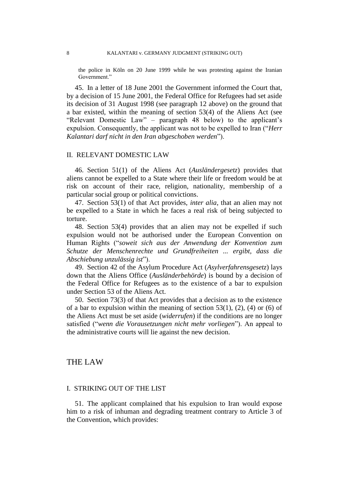8 KALANTARI v. GERMANY JUDGMENT (STRIKING OUT)

the police in Köln on 20 June 1999 while he was protesting against the Iranian Government."

45. In a letter of 18 June 2001 the Government informed the Court that, by a decision of 15 June 2001, the Federal Office for Refugees had set aside its decision of 31 August 1998 (see paragraph 12 above) on the ground that a bar existed, within the meaning of section 53(4) of the Aliens Act (see "Relevant Domestic Law" – paragraph 48 below) to the applicant's expulsion. Consequently, the applicant was not to be expelled to Iran ("*Herr Kalantari darf nicht in den Iran abgeschoben werden*").

#### II. RELEVANT DOMESTIC LAW

46. Section 51(1) of the Aliens Act (*Ausländergesetz*) provides that aliens cannot be expelled to a State where their life or freedom would be at risk on account of their race, religion, nationality, membership of a particular social group or political convictions.

47. Section 53(1) of that Act provides, *inter alia*, that an alien may not be expelled to a State in which he faces a real risk of being subjected to torture.

48. Section 53(4) provides that an alien may not be expelled if such expulsion would not be authorised under the European Convention on Human Rights ("*soweit sich aus der Anwendung der Konvention zum Schutze der Menschenrechte und Grundfreiheiten ... ergibt, dass die Abschiebung unzulässig ist*").

49. Section 42 of the Asylum Procedure Act (*Asylverfahrensgesetz*) lays down that the Aliens Office (*Ausländerbehörde*) is bound by a decision of the Federal Office for Refugees as to the existence of a bar to expulsion under Section 53 of the Aliens Act.

50. Section 73(3) of that Act provides that a decision as to the existence of a bar to expulsion within the meaning of section  $53(1)$ ,  $(2)$ ,  $(4)$  or  $(6)$  of the Aliens Act must be set aside (*widerrufen*) if the conditions are no longer satisfied ("*wenn die Vorausetzungen nicht mehr vorliegen*"). An appeal to the administrative courts will lie against the new decision.

### THE LAW

#### I. STRIKING OUT OF THE LIST

51. The applicant complained that his expulsion to Iran would expose him to a risk of inhuman and degrading treatment contrary to Article 3 of the Convention, which provides: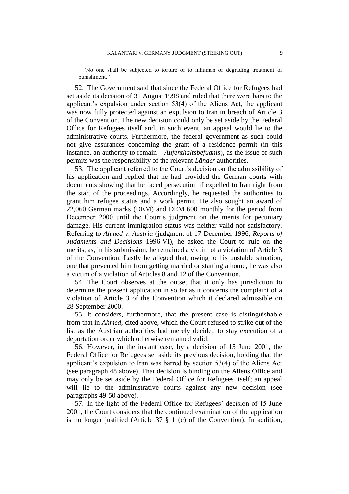"No one shall be subjected to torture or to inhuman or degrading treatment or punishment."

52. The Government said that since the Federal Office for Refugees had set aside its decision of 31 August 1998 and ruled that there were bars to the applicant's expulsion under section 53(4) of the Aliens Act, the applicant was now fully protected against an expulsion to Iran in breach of Article 3 of the Convention. The new decision could only be set aside by the Federal Office for Refugees itself and, in such event, an appeal would lie to the administrative courts. Furthermore, the federal government as such could not give assurances concerning the grant of a residence permit (in this instance, an authority to remain – *Aufenthaltsbefugnis*), as the issue of such permits was the responsibility of the relevant *Länder* authorities.

53. The applicant referred to the Court's decision on the admissibility of his application and replied that he had provided the German courts with documents showing that he faced persecution if expelled to Iran right from the start of the proceedings. Accordingly, he requested the authorities to grant him refugee status and a work permit. He also sought an award of 22,060 German marks (DEM) and DEM 600 monthly for the period from December 2000 until the Court's judgment on the merits for pecuniary damage. His current immigration status was neither valid nor satisfactory. Referring to *Ahmed v. Austria* (judgment of 17 December 1996, *Reports of Judgments and Decisions* 1996-VI), he asked the Court to rule on the merits, as, in his submission, he remained a victim of a violation of Article 3 of the Convention. Lastly he alleged that, owing to his unstable situation, one that prevented him from getting married or starting a home, he was also a victim of a violation of Articles 8 and 12 of the Convention.

54. The Court observes at the outset that it only has jurisdiction to determine the present application in so far as it concerns the complaint of a violation of Article 3 of the Convention which it declared admissible on 28 September 2000.

55. It considers, furthermore, that the present case is distinguishable from that in *Ahmed*, cited above, which the Court refused to strike out of the list as the Austrian authorities had merely decided to stay execution of a deportation order which otherwise remained valid.

56. However, in the instant case, by a decision of 15 June 2001, the Federal Office for Refugees set aside its previous decision, holding that the applicant's expulsion to Iran was barred by section 53(4) of the Aliens Act (see paragraph 48 above). That decision is binding on the Aliens Office and may only be set aside by the Federal Office for Refugees itself; an appeal will lie to the administrative courts against any new decision (see paragraphs 49-50 above).

57. In the light of the Federal Office for Refugees' decision of 15 June 2001, the Court considers that the continued examination of the application is no longer justified (Article 37 § 1 (c) of the Convention). In addition,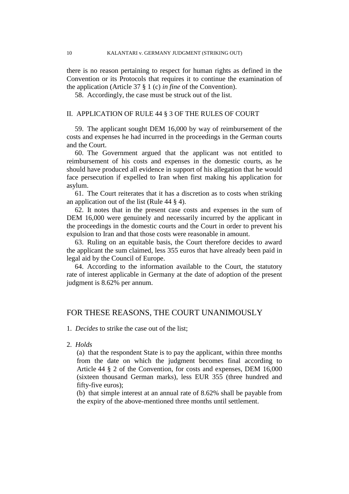there is no reason pertaining to respect for human rights as defined in the Convention or its Protocols that requires it to continue the examination of the application (Article 37 § 1 (c) *in fine* of the Convention).

58. Accordingly, the case must be struck out of the list.

#### II. APPLICATION OF RULE 44 § 3 OF THE RULES OF COURT

59. The applicant sought DEM 16,000 by way of reimbursement of the costs and expenses he had incurred in the proceedings in the German courts and the Court.

60. The Government argued that the applicant was not entitled to reimbursement of his costs and expenses in the domestic courts, as he should have produced all evidence in support of his allegation that he would face persecution if expelled to Iran when first making his application for asylum.

61. The Court reiterates that it has a discretion as to costs when striking an application out of the list (Rule 44 § 4).

62. It notes that in the present case costs and expenses in the sum of DEM 16,000 were genuinely and necessarily incurred by the applicant in the proceedings in the domestic courts and the Court in order to prevent his expulsion to Iran and that those costs were reasonable in amount.

63. Ruling on an equitable basis, the Court therefore decides to award the applicant the sum claimed, less 355 euros that have already been paid in legal aid by the Council of Europe.

64. According to the information available to the Court, the statutory rate of interest applicable in Germany at the date of adoption of the present judgment is 8.62% per annum.

## FOR THESE REASONS, THE COURT UNANIMOUSLY

1. *Decides* to strike the case out of the list;

2. *Holds*

(a) that the respondent State is to pay the applicant, within three months from the date on which the judgment becomes final according to Article 44 § 2 of the Convention, for costs and expenses, DEM 16,000 (sixteen thousand German marks), less EUR 355 (three hundred and fifty-five euros);

(b) that simple interest at an annual rate of 8.62% shall be payable from the expiry of the above-mentioned three months until settlement.